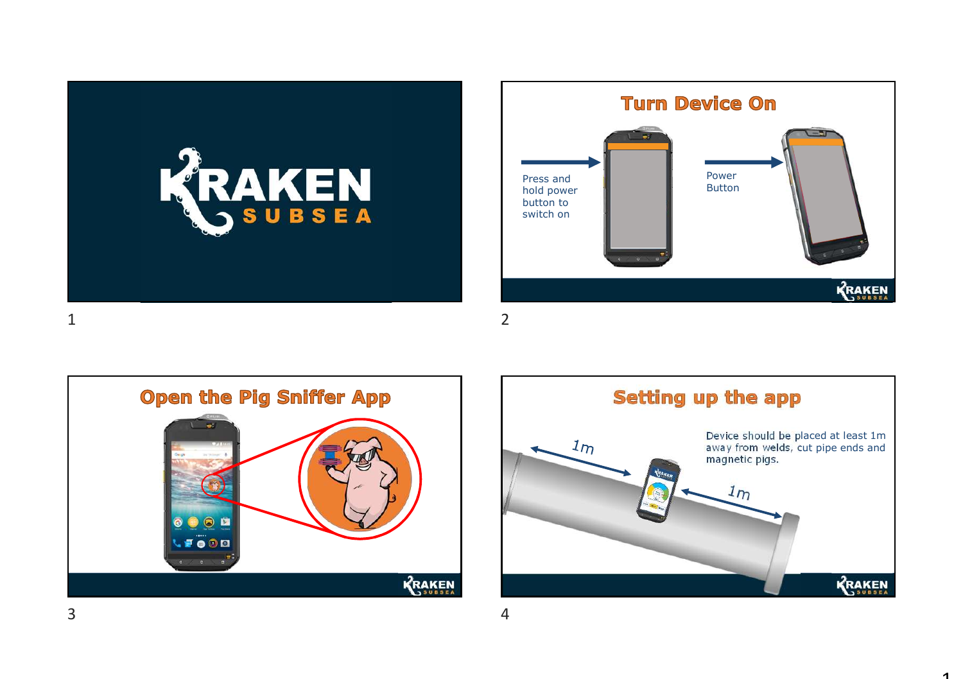